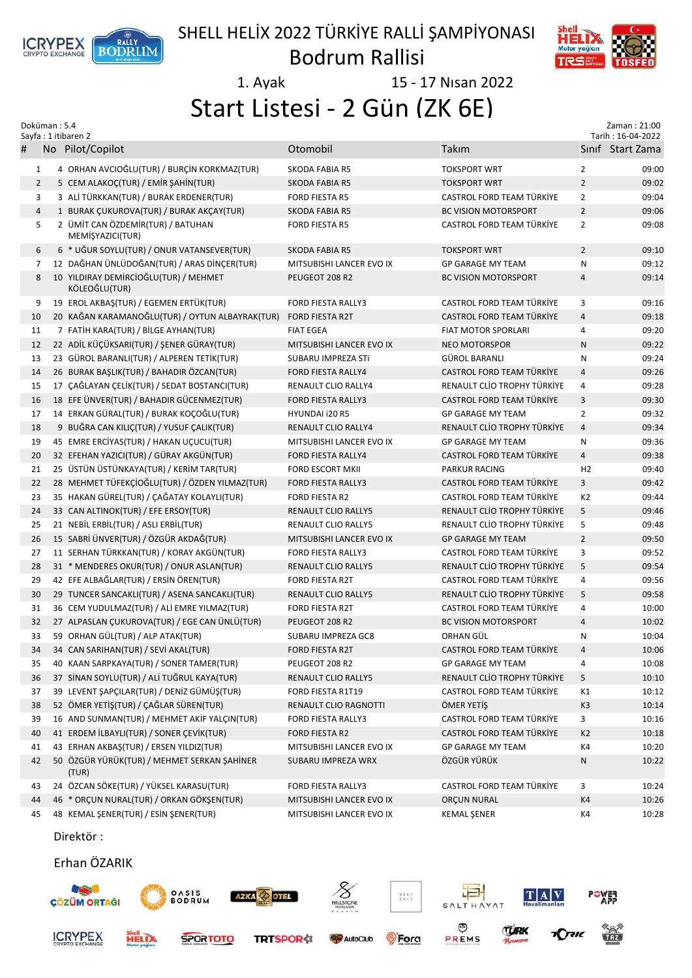

## SHELL HELİX 2022 TÜRKİYE RALLİ ŞAMPİYONASI

Bodrum Rallisi

1. Ayak 15 - 17 Nısan 2022

Start Listesi - 2 Gün (ZK 6E)

| Doküman: 5.4<br>Sayfa: 1 itibaren 2 |  |                                                        |                            | Zaman: 21:00<br>Tarih: 16-04-2022 |                |                  |
|-------------------------------------|--|--------------------------------------------------------|----------------------------|-----------------------------------|----------------|------------------|
| #                                   |  | No Pilot/Copilot                                       | Otomobil                   | Takım                             |                | Sinif Start Zama |
| $\mathbf{1}$                        |  | 4 ORHAN AVCIOĞLU(TUR) / BURÇİN KORKMAZ(TUR)            | SKODA FABIA R5             | <b>TOKSPORT WRT</b>               | $\overline{2}$ | 09:00            |
| $\overline{2}$                      |  | 5 CEM ALAKOÇ(TUR) / EMİR ŞAHİN(TUR)                    | <b>SKODA FABIA R5</b>      | <b>TOKSPORT WRT</b>               | $\overline{2}$ | 09:02            |
| 3                                   |  | 3 ALİ TÜRKKAN(TUR) / BURAK ERDENER(TUR)                | <b>FORD FIESTA R5</b>      | <b>CASTROL FORD TEAM TÜRKİYE</b>  | $\overline{2}$ | 09:04            |
| $\overline{4}$                      |  | 1 BURAK ÇUKUROVA(TUR) / BURAK AKÇAY(TUR)               | <b>SKODA FABIA R5</b>      | <b>BC VISION MOTORSPORT</b>       | $\overline{2}$ | 09:06            |
| 5                                   |  | 2 ÜMİT CAN ÖZDEMİR(TUR) / BATUHAN<br>MEMİŞYAZICI(TUR)  | <b>FORD FIESTA R5</b>      | CASTROL FORD TEAM TÜRKİYE         | $\overline{2}$ | 09:08            |
| 6                                   |  | 6 * UĞUR SOYLU(TUR) / ONUR VATANSEVER(TUR)             | SKODA FABIA R5             | <b>TOKSPORT WRT</b>               | $\overline{2}$ | 09:10            |
| 7                                   |  | 12 DAĞHAN ÜNLÜDOĞAN(TUR) / ARAS DİNÇER(TUR)            | MITSUBISHI LANCER EVO IX   | <b>GP GARAGE MY TEAM</b>          | N              | 09:12            |
| 8                                   |  | 10 YILDIRAY DEMİRCİOĞLU(TUR) / MEHMET<br>KÖLEOĞLU(TUR) | PEUGEOT 208 R2             | <b>BC VISION MOTORSPORT</b>       | $\overline{4}$ | 09:14            |
| 9                                   |  | 19 EROL AKBAŞ(TUR) / EGEMEN ERTÜK(TUR)                 | FORD FIESTA RALLY3         | CASTROL FORD TEAM TÜRKİYE         | 3              | 09:16            |
| 10                                  |  | 20 KAĞAN KARAMANOĞLU(TUR) / OYTUN ALBAYRAK(TUR)        | <b>FORD FIESTA R2T</b>     | CASTROL FORD TEAM TÜRKİYE         | $\overline{4}$ | 09:18            |
| 11                                  |  | 7 FATIH KARA(TUR) / BİLGE AYHAN(TUR)                   | <b>FIAT EGEA</b>           | FIAT MOTOR SPORLARI               | 4              | 09:20            |
| 12                                  |  | 22 ADİL KÜÇÜKSARI(TUR) / ŞENER GÜRAY(TUR)              | MITSUBISHI LANCER EVO IX   | <b>NEO MOTORSPOR</b>              | $\mathsf{N}$   | 09:22            |
| 13                                  |  | 23 GÜROL BARANLI(TUR) / ALPEREN TETİK(TUR)             | SUBARU IMPREZA STI         | GÜROL BARANLI                     | N              | 09:24            |
| 14                                  |  | 26 BURAK BAŞLIK(TUR) / BAHADIR ÖZCAN(TUR)              | FORD FIESTA RALLY4         | CASTROL FORD TEAM TÜRKİYE         | $\overline{4}$ | 09:26            |
| 15                                  |  | 17 ÇAĞLAYAN ÇELİK(TUR) / SEDAT BOSTANCI(TUR)           | RENAULT CLIO RALLY4        | RENAULT CLİO TROPHY TÜRKİYE       | 4              | 09:28            |
| 16                                  |  | 18 EFE ÜNVER(TUR) / BAHADIR GÜCENMEZ(TUR)              | <b>FORD FIESTA RALLY3</b>  | CASTROL FORD TEAM TÜRKİYE         | 3              | 09:30            |
| 17                                  |  | 14 ERKAN GÜRAL(TUR) / BURAK KOÇOĞLU(TUR)               | HYUNDAI i20 R5             | <b>GP GARAGE MY TEAM</b>          | $\overline{2}$ | 09:32            |
| 18                                  |  | 9 BUĞRA CAN KILIÇ(TUR) / YUSUF CALIK(TUR)              | RENAULT CLIO RALLY4        | RENAULT CLİO TROPHY TÜRKİYE       | $\overline{4}$ | 09:34            |
| 19                                  |  | 45 EMRE ERCİYAS(TUR) / HAKAN UÇUCU(TUR)                | MITSUBISHI LANCER EVO IX   | <b>GP GARAGE MY TEAM</b>          | N              | 09:36            |
| 20                                  |  | 32 EFEHAN YAZICI(TUR) / GÜRAY AKGÜN(TUR)               | <b>FORD FIESTA RALLY4</b>  | CASTROL FORD TEAM TÜRKİYE         | $\overline{4}$ | 09:38            |
| 21                                  |  | 25 ÜSTÜN ÜSTÜNKAYA(TUR) / KERİM TAR(TUR)               | <b>FORD ESCORT MKII</b>    | <b>PARKUR RACING</b>              | H <sub>2</sub> | 09:40            |
| 22                                  |  | 28 MEHMET TÜFEKÇİOĞLU(TUR) / ÖZDEN YILMAZ(TUR)         | <b>FORD FIESTA RALLY3</b>  | CASTROL FORD TEAM TÜRKİYE         | 3              | 09:42            |
| 23                                  |  | 35 HAKAN GÜREL(TUR) / ÇAĞATAY KOLAYLI(TUR)             | <b>FORD FIESTA R2</b>      | CASTROL FORD TEAM TÜRKİYE         | K <sub>2</sub> | 09:44            |
| 24                                  |  | 33 CAN ALTINOK(TUR) / EFE ERSOY(TUR)                   | <b>RENAULT CLIO RALLY5</b> | RENAULT CLİO TROPHY TÜRKİYE       | 5              | 09:46            |
| 25                                  |  | 21 NEBİL ERBİL(TUR) / ASLI ERBİL(TUR)                  | RENAULT CLIO RALLY5        | RENAULT CLİO TROPHY TÜRKİYE       | 5              | 09:48            |
| 26                                  |  | 15 SABRİ ÜNVER(TUR) / ÖZGÜR AKDAĞ(TUR)                 | MITSUBISHI LANCER EVO IX   | <b>GP GARAGE MY TEAM</b>          | $\overline{2}$ | 09:50            |
| 27                                  |  | 11 SERHAN TÜRKKAN(TUR) / KORAY AKGÜN(TUR)              | FORD FIESTA RALLY3         | CASTROL FORD TEAM TÜRKİYE         | 3              | 09:52            |
| 28                                  |  | 31 * MENDERES OKUR(TUR) / ONUR ASLAN(TUR)              | <b>RENAULT CLIO RALLY5</b> | RENAULT CLİO TROPHY TÜRKİYE       | 5              | 09:54            |
| 29                                  |  | 42 EFE ALBAĞLAR(TUR) / ERSİN ÖREN(TUR)                 | <b>FORD FIESTA R2T</b>     | CASTROL FORD TEAM TÜRKİYE         | 4              | 09:56            |
| 30                                  |  | 29 TUNCER SANCAKLI(TUR) / ASENA SANCAKLI(TUR)          | <b>RENAULT CLIO RALLY5</b> | RENAULT CLİO TROPHY TÜRKİYE       | 5              | 09:58            |
| 31                                  |  | 36 CEM YUDULMAZ(TUR) / ALİ EMRE YILMAZ(TUR)            | <b>FORD FIESTA R2T</b>     | CASTROL FORD TEAM TÜRKİYE         | 4              | 10:00            |
| 32                                  |  | 27 ALPASLAN ÇUKUROVA(TUR) / EGE CAN ÜNLÜ(TUR)          | PEUGEOT 208 R2             | <b>BC VISION MOTORSPORT</b>       | $\overline{4}$ | 10:02            |
| 33                                  |  | 59 ORHAN GÜL(TUR) / ALP ATAK(TUR)                      | SUBARU IMPREZA GC8         | ORHAN GÜL                         | N              | 10:04            |
| 34                                  |  | 34 CAN SARIHAN(TUR) / SEVİ AKAL(TUR)                   | FORD FIESTA R2T            | CASTROL FORD TEAM TÜRKİYE         | 4              | 10:06            |
| 35                                  |  | 40 KAAN SARPKAYA(TUR) / SONER TAMER(TUR)               | PEUGEOT 208 R2             | <b>GP GARAGE MY TEAM</b>          | 4              | 10:08            |
| 36                                  |  | 37 SİNAN SOYLU(TUR) / ALİ TUĞRUL KAYA(TUR)             | RENAULT CLIO RALLY5        | RENAULT CLIO TROPHY TÜRKİYE       | 5              | 10:10            |
| 37                                  |  | 39 LEVENT ŞAPÇILAR(TUR) / DENİZ GÜMÜŞ(TUR)             | FORD FIESTA R1T19          | CASTROL FORD TEAM TÜRKİYE         | K1             | 10:12            |
|                                     |  | 52 ÖMER YETİŞ(TUR) / ÇAĞLAR SÜREN(TUR)                 |                            | ÖMER YETİŞ                        | K <sub>3</sub> | 10:14            |
| 38                                  |  |                                                        | RENAULT CLIO RAGNOTTI      | CASTROL FORD TEAM TÜRKİYE         |                |                  |
| 39                                  |  | 16 AND SUNMAN(TUR) / MEHMET AKİF YALÇIN(TUR)           | FORD FIESTA RALLY3         |                                   | 3              | 10:16            |
| 40                                  |  | 41 ERDEM İLBAYLI(TUR) / SONER ÇEVİK(TUR)               | FORD FIESTA R2             | CASTROL FORD TEAM TÜRKİYE         | K <sub>2</sub> | 10:18            |
| 41                                  |  | 43 ERHAN AKBAŞ(TUR) / ERSEN YILDIZ(TUR)                | MITSUBISHI LANCER EVO IX   | <b>GP GARAGE MY TEAM</b>          | K4             | 10:20            |
| 42                                  |  | 50 ÖZGÜR YÜRÜK(TUR) / MEHMET SERKAN ŞAHİNER<br>(TUR)   | SUBARU IMPREZA WRX         | ÖZGÜR YÜRÜK                       | N              | 10:22            |
| 43                                  |  | 24 ÖZCAN SÖKE(TUR) / YÜKSEL KARASU(TUR)                | FORD FIESTA RALLY3         | CASTROL FORD TEAM TÜRKİYE         | 3              | 10:24            |
| 44                                  |  | 46 * ORÇUN NURAL(TUR) / ORKAN GÖKŞEN(TUR)              | MITSUBISHI LANCER EVO IX   | <b>ORÇUN NURAL</b>                | K4             | 10:26            |
| 45                                  |  | 48 KEMAL ŞENER(TUR) / ESİN ŞENER(TUR)<br>Direktör:     | MITSUBISHI LANCER EVO IX   | <b>KEMAL ŞENER</b>                | K4             | 10:28            |
|                                     |  |                                                        |                            |                                   |                |                  |

## Erhan ÖZARIK